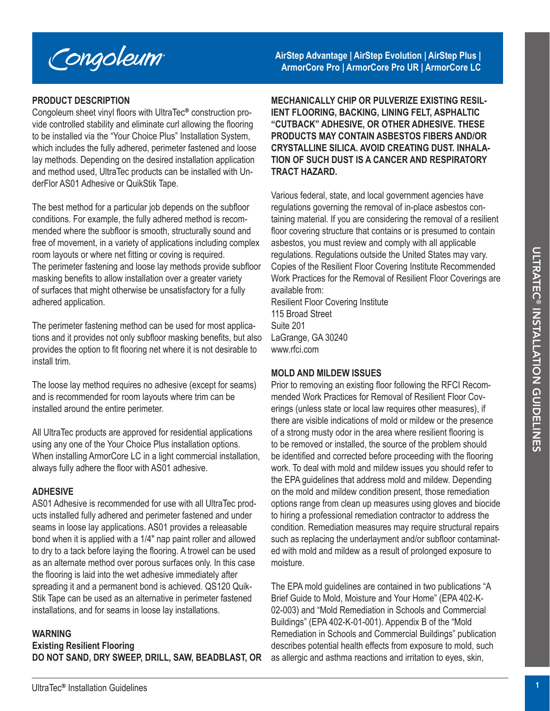

# **PRODUCT DESCRIPTION**

Congoleum sheet vinyl floors with UltraTec® construction provide controlled stability and eliminate curl allowing the flooring to be installed via the "Your Choice Plus" Installation System, which includes the fully adhered, perimeter fastened and loose lay methods. Depending on the desired installation application and method used, UltraTec products can be installed with UnderFlor AS01 Adhesive or QuikStik Tape.

The best method for a particular job depends on the subfloor conditions. For example, the fully adhered method is recommended where the subfloor is smooth, structurally sound and free of movement, in a variety of applications including complex room layouts or where net fitting or coving is required. The perimeter fastening and loose lay methods provide subfloor masking benefits to allow installation over a greater variety of surfaces that might otherwise be unsatisfactory for a fully adhered application.

The perimeter fastening method can be used for most applications and it provides not only subfloor masking benefits, but also provides the option to fit flooring net where it is not desirable to install trim.

The loose lay method requires no adhesive (except for seams) and is recommended for room layouts where trim can be installed around the entire perimeter.

All UltraTec products are approved for residential applications using any one of the Your Choice Plus installation options. When installing ArmorCore LC in a light commercial installation, always fully adhere the floor with AS01 adhesive.

# **ADHESIVE**

AS01 Adhesive is recommended for use with all UltraTec products installed fully adhered and perimeter fastened and under seams in loose lay applications. AS01 provides a releasable bond when it is applied with a 1/4″ nap paint roller and allowed to dry to a tack before laying the flooring. A trowel can be used as an alternate method over porous surfaces only. In this case the flooring is laid into the wet adhesive immediately after spreading it and a permanent bond is achieved. QS120 Quik-Stik Tape can be used as an alternative in perimeter fastened installations, and for seams in loose lay installations.

#### **WARNING**

**Existing Resilient Flooring DO NOT SAND, DRY SWEEP, DRILL, SAW, BEADBLAST, OR**  **AirStep Advantage | AirStep Evolution | AirStep Plus | ArmorCore Pro | ArmorCore Pro UR | ArmorCore LC**

**MECHANICALLY CHIP OR PULVERIZE EXISTING RESIL-IENT FLOORING, BACKING, LINING FELT, ASPHALTIC "CUTBACK" ADHESIVE, OR OTHER ADHESIVE. THESE PRODUCTS MAY CONTAIN ASBESTOS FIBERS AND/OR CRYSTALLINE SILICA. AVOID CREATING DUST. INHALA-TION OF SUCH DUST IS A CANCER AND RESPIRATORY TRACT HAZARD.**

Various federal, state, and local government agencies have regulations governing the removal of in-place asbestos containing material. If you are considering the removal of a resilient floor covering structure that contains or is presumed to contain asbestos, you must review and comply with all applicable regulations. Regulations outside the United States may vary. Copies of the Resilient Floor Covering Institute Recommended Work Practices for the Removal of Resilient Floor Coverings are available from:

Resilient Floor Covering Institute 115 Broad Street Suite 201 LaGrange, GA 30240 www.rfci.com

#### **MOLD AND MILDEW ISSUES**

nom layout are net throm points are realisation of the points of the EPA model of the Resistent Findel States in the model of the Counterpolar states in the model of the Counter of the Counter of the Counter of the Counter Prior to removing an existing floor following the RFCI Recommended Work Practices for Removal of Resilient Floor Coverings (unless state or local law requires other measures), if there are visible indications of mold or mildew or the presence of a strong musty odor in the area where resilient flooring is to be removed or installed, the source of the problem should be identified and corrected before proceeding with the flooring work. To deal with mold and mildew issues you should refer to the EPA guidelines that address mold and mildew. Depending on the mold and mildew condition present, those remediation options range from clean up measures using gloves and biocide to hiring a professional remediation contractor to address the condition. Remediation measures may require structural repairs such as replacing the underlayment and/or subfloor contaminated with mold and mildew as a result of prolonged exposure to moisture.

The EPA mold guidelines are contained in two publications "A Brief Guide to Mold, Moisture and Your Home" (EPA 402-K-02-003) and "Mold Remediation in Schools and Commercial Buildings" (EPA 402-K-01-001). Appendix B of the "Mold Remediation in Schools and Commercial Buildings" publication describes potential health effects from exposure to mold, such as allergic and asthma reactions and irritation to eyes, skin,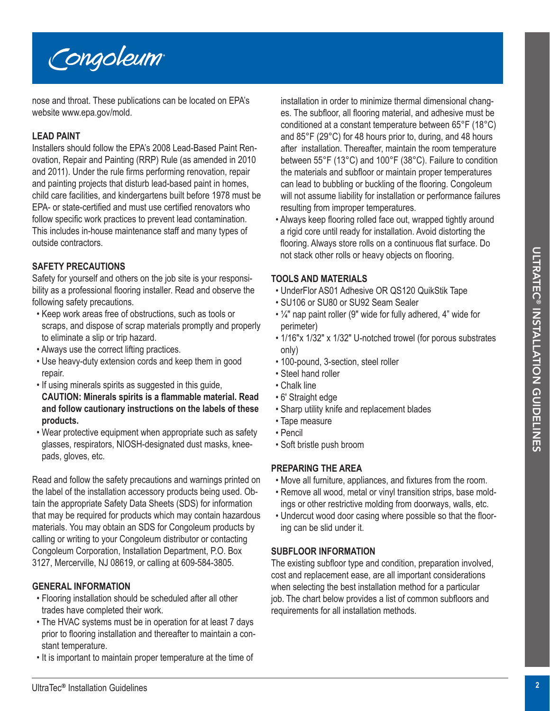



# **TOOLS AND MATERIALS**

- UnderFlor AS01 Adhesive OR QS120 QuikStik Tape
- SU106 or SU80 or SU92 Seam Sealer
- ¼″ nap paint roller (9″ wide for fully adhered, 4" wide for perimeter)
- 1/16″x 1/32″ x 1/32″ U-notched trowel (for porous substrates only)
- 100-pound, 3-section, steel roller
- Steel hand roller
- Chalk line
- 6′ Straight edge
- Sharp utility knife and replacement blades
- Tape measure
- Pencil
- Soft bristle push broom

# **PREPARING THE AREA**

- Move all furniture, appliances, and fixtures from the room.
- Remove all wood, metal or vinyl transition strips, base moldings or other restrictive molding from doorways, walls, etc.
- Undercut wood door casing where possible so that the flooring can be slid under it.

# **SUBFLOOR INFORMATION**

The existing subfloor type and condition, preparation involved, cost and replacement ease, are all important considerations when selecting the best installation method for a particular job. The chart below provides a list of common subfloors and requirements for all installation methods.



nose and throat. These publications can be located on EPA's website www.epa.gov/mold.

# **LEAD PAINT**

Installers should follow the EPA's 2008 Lead-Based Paint Renovation, Repair and Painting (RRP) Rule (as amended in 2010 and 2011). Under the rule firms performing renovation, repair and painting projects that disturb lead-based paint in homes, child care facilities, and kindergartens built before 1978 must be EPA- or state-certified and must use certified renovators who follow specific work practices to prevent lead contamination. This includes in-house maintenance staff and many types of outside contractors.

# **SAFETY PRECAUTIONS**

Safety for yourself and others on the job site is your responsibility as a professional flooring installer. Read and observe the following safety precautions.

- Keep work areas free of obstructions, such as tools or scraps, and dispose of scrap materials promptly and properly to eliminate a slip or trip hazard.
- Always use the correct lifting practices.
- Use heavy-duty extension cords and keep them in good repair.
- If using minerals spirits as suggested in this guide,
- **CAUTION: Minerals spirits is a flammable material. Read and follow cautionary instructions on the labels of these products.**
- Wear protective equipment when appropriate such as safety glasses, respirators, NIOSH-designated dust masks, kneepads, gloves, etc.

**SAFETY PRECAUTIONS**<br> **CHEMEN** for guidelined cheme on the job site is your responsion of sixed by the particular standard controls and distinct ERIAL IS (INCRED AND MATERIAL IS an application for a particular standard di Read and follow the safety precautions and warnings printed on the label of the installation accessory products being used. Obtain the appropriate Safety Data Sheets (SDS) for information that may be required for products which may contain hazardous materials. You may obtain an SDS for Congoleum products by calling or writing to your Congoleum distributor or contacting Congoleum Corporation, Installation Department, P.O. Box 3127, Mercerville, NJ 08619, or calling at 609-584-3805.

# **GENERAL INFORMATION**

- Flooring installation should be scheduled after all other trades have completed their work.
- The HVAC systems must be in operation for at least 7 days prior to flooring installation and thereafter to maintain a constant temperature.
- It is important to maintain proper temperature at the time of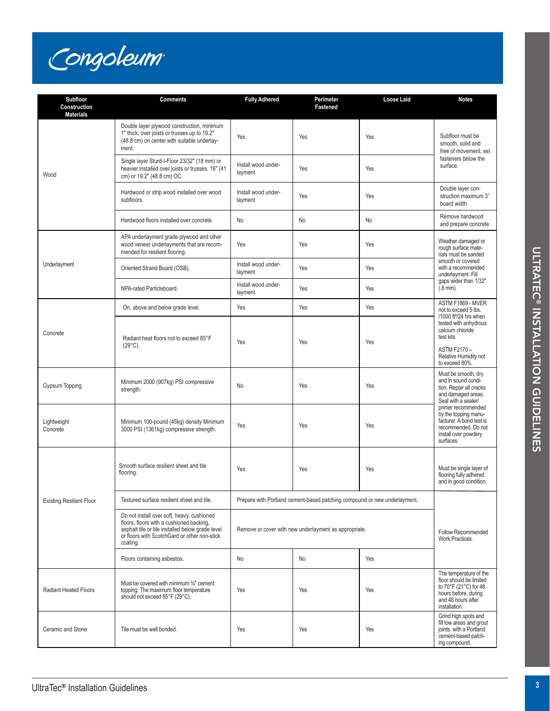

| <b>Subfloor</b><br>Construction<br><b>Materials</b> | <b>Comments</b>                                                                                                                                                                                        | <b>Fully Adhered</b>                                                      | Perimeter<br>Fastened | Loose Laid | <b>Notes</b>                                                                                                                                                                                         |
|-----------------------------------------------------|--------------------------------------------------------------------------------------------------------------------------------------------------------------------------------------------------------|---------------------------------------------------------------------------|-----------------------|------------|------------------------------------------------------------------------------------------------------------------------------------------------------------------------------------------------------|
| Wood                                                | Double layer plywood construction, minimum<br>1" thick, over joists or trusses up to 19.2"<br>(48.8 cm) on center with suitable underlay-<br>ment.                                                     | Yes                                                                       | Yes                   | Yes        | Subfloor must be<br>smooth, solid and<br>free of movement, set<br>fasteners below the<br>surface.                                                                                                    |
|                                                     | Single layer Sturd-I-Floor 23/32" (18 mm) or<br>heavier installed over joists or trusses, 16" (41<br>cm) or 19.2" (48.8 cm) OC.                                                                        | Install wood under-<br>layment                                            | Yes                   | Yes        |                                                                                                                                                                                                      |
|                                                     | Hardwood or strip wood installed over wood<br>subfloors.                                                                                                                                               | Install wood under-<br>layment                                            | Yes                   | Yes        | Double layer con-<br>struction maximum 3"<br>board width                                                                                                                                             |
|                                                     | Hardwood floors installed over concrete.                                                                                                                                                               | No                                                                        | No                    | No         | Remove hardwood<br>and prepare concrete                                                                                                                                                              |
| Underlayment                                        | APA underlayment grade plywood and other<br>wood veneer underlayments that are recom-<br>mended for resilient flooring.                                                                                | Yes                                                                       | Yes                   | Yes        | Weather damaged or<br>rough surface mate-<br>rials must be sanded<br>smooth or covered<br>with a recommended<br>underlayment. Fill<br>gaps wider than 1/32"<br>$(.8$ mm $).$                         |
|                                                     | Oriented Strand Board (OSB).                                                                                                                                                                           | Install wood under-<br>layment                                            | Yes                   | Yes        |                                                                                                                                                                                                      |
|                                                     | NPA-rated Particleboard.                                                                                                                                                                               | Install wood under-<br>lavment                                            | Yes                   | Yes        |                                                                                                                                                                                                      |
| Concrete                                            | On, above and below grade level.                                                                                                                                                                       | Yes                                                                       | Yes                   | Yes        | ASTM F1869 - MVER<br>not to exceed 5 lbs.<br>/1000 ft <sup>2</sup> /24 hrs when<br>tested with anhydrous<br>calcium chloride<br>test kits.<br>ASTM F2170-<br>Relative Humidity not<br>to exceed 80%. |
|                                                     | Radiant heat floors not to exceed 85°F<br>$(29^{\circ}C)$ .                                                                                                                                            | Yes                                                                       | Yes                   | Yes        |                                                                                                                                                                                                      |
| <b>Gypsum Topping</b>                               | Minimum 2000 (907kg) PSI compressive<br>strength.                                                                                                                                                      | No                                                                        | Yes                   | Yes        | Must be smooth, dry<br>and in sound condi-<br>tion. Repair all cracks<br>and damaged areas.<br>Seal with a sealer/                                                                                   |
| Lightweight<br>Concrete                             | Minimum 100-pound (45kg) density Minimum<br>3000 PSI (1361kg) compressive strength.                                                                                                                    | Yes                                                                       | Yes                   | Yes        | primer recommended<br>by the topping manu-<br>facturer. A bond test is<br>recommended. Do not<br>install over powdery<br>surfaces.                                                                   |
| <b>Existing Resilient Floor</b>                     | Smooth surface resilient sheet and tile<br>flooring.                                                                                                                                                   | Yes                                                                       | Yes                   | Yes        | Must be single layer of<br>flooring fully adhered<br>and in good condition.                                                                                                                          |
|                                                     | Textured surface resilient sheet and tile.                                                                                                                                                             | Prepare with Portland cement-based patching compound or new underlayment. |                       |            | Follow Recommended<br>Work Practices.                                                                                                                                                                |
|                                                     | Do not install over soft, heavy, cushioned<br>floors, floors with a cushioned backing,<br>asphalt tile or tile installed below grade level<br>or floors with ScotchGard or other non-stick<br>coating. | Remove or cover with new underlayment as appropriate.                     |                       |            |                                                                                                                                                                                                      |
|                                                     | Floors containing asbestos.                                                                                                                                                                            | No                                                                        | No                    | Yes        |                                                                                                                                                                                                      |
| <b>Radiant Heated Floors</b>                        | Must be covered with minimum 3/4" cement<br>topping. The maximum floor temperature<br>should not exceed 85°F (29°C).                                                                                   | Yes                                                                       | Yes                   | Yes        | The temperature of the<br>floor should be limited<br>to 70°F (21°C) for 48<br>hours before, during<br>and 48 hours after<br>installation.                                                            |
| Ceramic and Stone                                   | Tile must be well bonded.                                                                                                                                                                              | Yes                                                                       | Yes                   | Yes        | Grind high spots and<br>fill low areas and grout<br>joints with a Portland<br>cement-based patch-<br>ing compound.                                                                                   |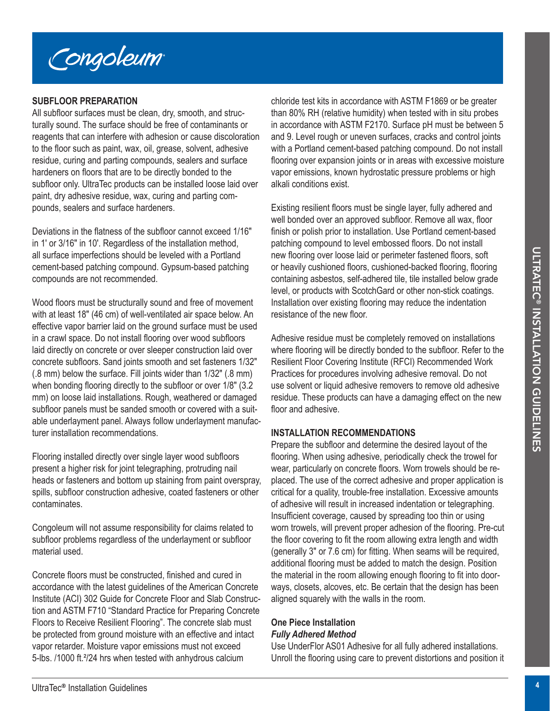

# **SUBFLOOR PREPARATION**

All subfloor surfaces must be clean, dry, smooth, and structurally sound. The surface should be free of contaminants or reagents that can interfere with adhesion or cause discoloration to the floor such as paint, wax, oil, grease, solvent, adhesive residue, curing and parting compounds, sealers and surface hardeners on floors that are to be directly bonded to the subfloor only. UltraTec products can be installed loose laid over paint, dry adhesive residue, wax, curing and parting compounds, sealers and surface hardeners.

Deviations in the flatness of the subfloor cannot exceed 1/16″ in 1′ or 3/16″ in 10′. Regardless of the installation method, all surface imperfections should be leveled with a Portland cement-based patching compound. Gypsum-based patching compounds are not recommended.

Wood floors must be structurally sound and free of movement with at least 18″ (46 cm) of well-ventilated air space below. An effective vapor barrier laid on the ground surface must be used in a crawl space. Do not install flooring over wood subfloors laid directly on concrete or over sleeper construction laid over concrete subfloors. Sand joints smooth and set fasteners 1/32″ (.8 mm) below the surface. Fill joints wider than 1/32″ (.8 mm) when bonding flooring directly to the subfloor or over  $1/8$ " (3.2) mm) on loose laid installations. Rough, weathered or damaged subfloor panels must be sanded smooth or covered with a suitable underlayment panel. Always follow underlayment manufacturer installation recommendations.

Flooring installed directly over single layer wood subfloors present a higher risk for joint telegraphing, protruding nail heads or fasteners and bottom up staining from paint overspray, spills, subfloor construction adhesive, coated fasteners or other contaminates.

Congoleum will not assume responsibility for claims related to subfloor problems regardless of the underlayment or subfloor material used.

Concrete floors must be constructed, finished and cured in accordance with the latest guidelines of the American Concrete Institute (ACI) 302 Guide for Concrete Floor and Slab Construction and ASTM F710 "Standard Practice for Preparing Concrete Floors to Receive Resilient Flooring". The concrete slab must be protected from ground moisture with an effective and intact vapor retarder. Moisture vapor emissions must not exceed 5-lbs. /1000 ft.²/24 hrs when tested with anhydrous calcium

chloride test kits in accordance with ASTM F1869 or be greater than 80% RH (relative humidity) when tested with in situ probes in accordance with ASTM F2170. Surface pH must be between 5 and 9. Level rough or uneven surfaces, cracks and control joints with a Portland cement-based patching compound. Do not install flooring over expansion joints or in areas with excessive moisture vapor emissions, known hydrostatic pressure problems or high alkali conditions exist.

Existing resilient floors must be single layer, fully adhered and well bonded over an approved subfloor. Remove all wax, floor finish or polish prior to installation. Use Portland cement-based patching compound to level embossed floors. Do not install new flooring over loose laid or perimeter fastened floors, soft or heavily cushioned floors, cushioned-backed flooring, flooring containing asbestos, self-adhered tile, tile installed below grade level, or products with ScotchGard or other non-stick coatings. Installation over existing flooring may reduce the indentation resistance of the new floor.

Adhesive residue must be completely removed on installations where flooring will be directly bonded to the subfloor. Refer to the Resilient Floor Covering Institute (RFCI) Recommended Work Practices for procedures involving adhesive removal. Do not use solvent or liquid adhesive removers to remove old adhesive residue. These products can have a damaging effect on the new floor and adhesive.

# **INSTALLATION RECOMMENDATIONS**

all surface interest time the weak that a Proferior density in each of the side of restricted in the prime the side of response the side bursted for specified in the analysis of the second for the side of moving one three Prepare the subfloor and determine the desired layout of the flooring. When using adhesive, periodically check the trowel for wear, particularly on concrete floors. Worn trowels should be replaced. The use of the correct adhesive and proper application is critical for a quality, trouble-free installation. Excessive amounts of adhesive will result in increased indentation or telegraphing. Insufficient coverage, caused by spreading too thin or using worn trowels, will prevent proper adhesion of the flooring. Pre-cut the floor covering to fit the room allowing extra length and width (generally 3″ or 7.6 cm) for fitting. When seams will be required, additional flooring must be added to match the design. Position the material in the room allowing enough flooring to fit into doorways, closets, alcoves, etc. Be certain that the design has been aligned squarely with the walls in the room.

#### **One Piece Installation** *Fully Adhered Method*

Use UnderFlor AS01 Adhesive for all fully adhered installations. Unroll the flooring using care to prevent distortions and position it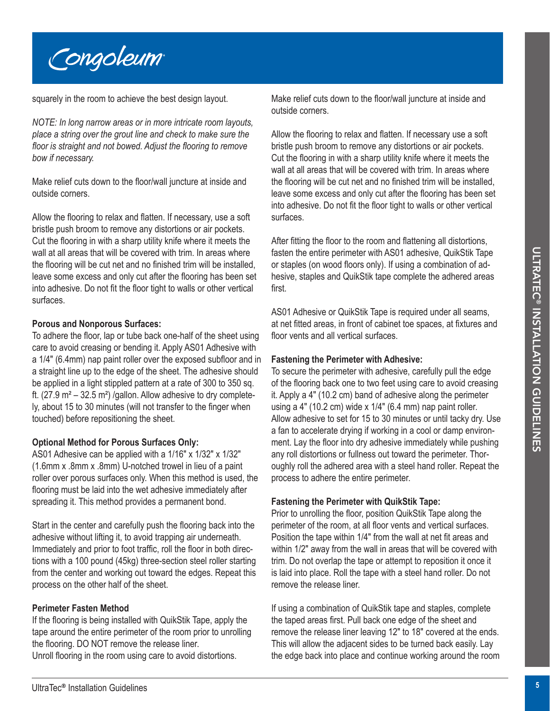

squarely in the room to achieve the best design layout.

*NOTE: In long narrow areas or in more intricate room layouts, place a string over the grout line and check to make sure the floor is straight and not bowed. Adjust the flooring to remove bow if necessary.*

Make relief cuts down to the floor/wall juncture at inside and outside corners.

Allow the flooring to relax and flatten. If necessary, use a soft bristle push broom to remove any distortions or air pockets. Cut the flooring in with a sharp utility knife where it meets the wall at all areas that will be covered with trim. In areas where the flooring will be cut net and no finished trim will be installed, leave some excess and only cut after the flooring has been set into adhesive. Do not fit the floor tight to walls or other vertical surfaces.

# **Porous and Nonporous Surfaces:**

To adhere the floor, lap or tube back one-half of the sheet using care to avoid creasing or bending it. Apply AS01 Adhesive with a 1/4″ (6.4mm) nap paint roller over the exposed subfloor and in a straight line up to the edge of the sheet. The adhesive should be applied in a light stippled pattern at a rate of 300 to 350 sq. ft.  $(27.9 \text{ m}^2 - 32.5 \text{ m}^2)$  /gallon. Allow adhesive to dry completely, about 15 to 30 minutes (will not transfer to the finger when touched) before repositioning the sheet.

# **Optional Method for Porous Surfaces Only:**

AS01 Adhesive can be applied with a 1/16″ x 1/32″ x 1/32″ (1.6mm x .8mm x .8mm) U-notched trowel in lieu of a paint roller over porous surfaces only. When this method is used, the flooring must be laid into the wet adhesive immediately after spreading it. This method provides a permanent bond.

Start in the center and carefully push the flooring back into the adhesive without lifting it, to avoid trapping air underneath. Immediately and prior to foot traffic, roll the floor in both directions with a 100 pound (45kg) three-section steel roller starting from the center and working out toward the edges. Repeat this process on the other half of the sheet.

# **Perimeter Fasten Method**

If the flooring is being installed with QuikStik Tape, apply the tape around the entire perimeter of the room prior to unrolling the flooring. DO NOT remove the release liner. Unroll flooring in the room using care to avoid distortions.

Make relief cuts down to the floor/wall juncture at inside and outside corners.

Allow the flooring to relax and flatten. If necessary use a soft bristle push broom to remove any distortions or air pockets. Cut the flooring in with a sharp utility knife where it meets the wall at all areas that will be covered with trim. In areas where the flooring will be cut net and no finished trim will be installed, leave some excess and only cut after the flooring has been set into adhesive. Do not fit the floor tight to walls or other vertical surfaces.

After fitting the floor to the room and flattening all distortions, fasten the entire perimeter with AS01 adhesive, QuikStik Tape or staples (on wood floors only). If using a combination of adhesive, staples and QuikStik tape complete the adhered areas first.

AS01 Adhesive or QuikStik Tape is required under all seams, at net fitted areas, in front of cabinet toe spaces, at fixtures and floor vents and all vertical surfaces.

# **Fastening the Perimeter with Adhesive:**

wall at line covered with home in the search with the interpertient with ASN admension could be the search and a method in the search and control interpertient with ASN admension could be the search and control interpertie To secure the perimeter with adhesive, carefully pull the edge of the flooring back one to two feet using care to avoid creasing it. Apply a 4″ (10.2 cm) band of adhesive along the perimeter using a 4″ (10.2 cm) wide x 1/4″ (6.4 mm) nap paint roller. Allow adhesive to set for 15 to 30 minutes or until tacky dry. Use a fan to accelerate drying if working in a cool or damp environment. Lay the floor into dry adhesive immediately while pushing any roll distortions or fullness out toward the perimeter. Thoroughly roll the adhered area with a steel hand roller. Repeat the process to adhere the entire perimeter.

# **Fastening the Perimeter with QuikStik Tape:**

Prior to unrolling the floor, position QuikStik Tape along the perimeter of the room, at all floor vents and vertical surfaces. Position the tape within 1/4″ from the wall at net fit areas and within 1/2″ away from the wall in areas that will be covered with trim. Do not overlap the tape or attempt to reposition it once it is laid into place. Roll the tape with a steel hand roller. Do not remove the release liner.

If using a combination of QuikStik tape and staples, complete the taped areas first. Pull back one edge of the sheet and remove the release liner leaving 12″ to 18″ covered at the ends. This will allow the adjacent sides to be turned back easily. Lay the edge back into place and continue working around the room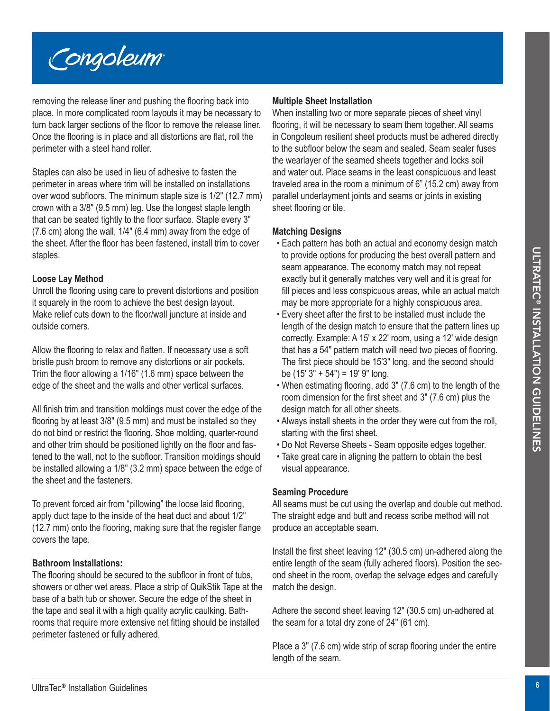

removing the release liner and pushing the flooring back into place. In more complicated room layouts it may be necessary to turn back larger sections of the floor to remove the release liner. Once the flooring is in place and all distortions are flat, roll the perimeter with a steel hand roller.

Staples can also be used in lieu of adhesive to fasten the perimeter in areas where trim will be installed on installations over wood subfloors. The minimum staple size is 1/2″ (12.7 mm) crown with a 3/8″ (9.5 mm) leg. Use the longest staple length that can be seated tightly to the floor surface. Staple every 3″ (7.6 cm) along the wall, 1/4″ (6.4 mm) away from the edge of the sheet. After the floor has been fastened, install trim to cover staples.

#### **Loose Lay Method**

Unroll the flooring using care to prevent distortions and position it squarely in the room to achieve the best design layout. Make relief cuts down to the floor/wall juncture at inside and outside corners.

Allow the flooring to relax and flatten. If necessary use a soft bristle push broom to remove any distortions or air pockets. Trim the floor allowing a 1/16″ (1.6 mm) space between the edge of the sheet and the walls and other vertical surfaces.

stayles.<br>
Lengthed the project of production and provide critical season appearance. The economy meth may not depend<br>
Livra the fluores and the term of the season of the season of the season of the season of the season of All finish trim and transition moldings must cover the edge of the flooring by at least 3/8″ (9.5 mm) and must be installed so they do not bind or restrict the flooring. Shoe molding, quarter-round and other trim should be positioned lightly on the floor and fastened to the wall, not to the subfloor. Transition moldings should be installed allowing a 1/8″ (3.2 mm) space between the edge of the sheet and the fasteners.

To prevent forced air from "pillowing" the loose laid flooring, apply duct tape to the inside of the heat duct and about 1/2″ (12.7 mm) onto the flooring, making sure that the register flange covers the tape.

# **Bathroom Installations:**

The flooring should be secured to the subfloor in front of tubs, showers or other wet areas. Place a strip of QuikStik Tape at the base of a bath tub or shower. Secure the edge of the sheet in the tape and seal it with a high quality acrylic caulking. Bathrooms that require more extensive net fitting should be installed perimeter fastened or fully adhered.

#### **Multiple Sheet Installation**

When installing two or more separate pieces of sheet vinyl flooring, it will be necessary to seam them together. All seams in Congoleum resilient sheet products must be adhered directly to the subfloor below the seam and sealed. Seam sealer fuses the wearlayer of the seamed sheets together and locks soil and water out. Place seams in the least conspicuous and least traveled area in the room a minimum of 6" (15.2 cm) away from parallel underlayment joints and seams or joints in existing sheet flooring or tile.

#### **Matching Designs**

- Each pattern has both an actual and economy design match to provide options for producing the best overall pattern and seam appearance. The economy match may not repeat exactly but it generally matches very well and it is great for fill pieces and less conspicuous areas, while an actual match may be more appropriate for a highly conspicuous area.
- Every sheet after the first to be installed must include the length of the design match to ensure that the pattern lines up correctly. Example: A 15′ x 22′ room, using a 12′ wide design that has a 54″ pattern match will need two pieces of flooring. The first piece should be 15′3″ long, and the second should be (15′ 3″ + 54″) = 19′ 9″ long.
- When estimating flooring, add 3″ (7.6 cm) to the length of the room dimension for the first sheet and 3″ (7.6 cm) plus the design match for all other sheets.
- Always install sheets in the order they were cut from the roll, starting with the first sheet.
- Do Not Reverse Sheets Seam opposite edges together.
- Take great care in aligning the pattern to obtain the best visual appearance.

#### **Seaming Procedure**

All seams must be cut using the overlap and double cut method. The straight edge and butt and recess scribe method will not produce an acceptable seam.

Install the first sheet leaving 12″ (30.5 cm) un-adhered along the entire length of the seam (fully adhered floors). Position the second sheet in the room, overlap the selvage edges and carefully match the design.

Adhere the second sheet leaving 12″ (30.5 cm) un-adhered at the seam for a total dry zone of 24″ (61 cm).

Place a 3″ (7.6 cm) wide strip of scrap flooring under the entire length of the seam.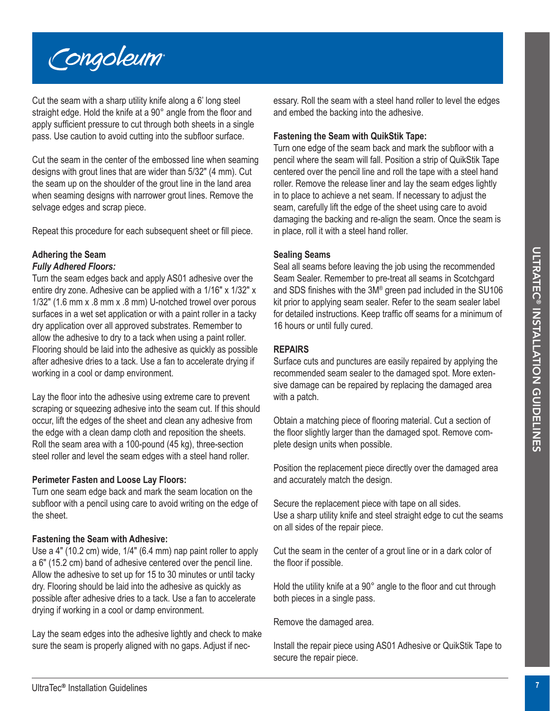

Cut the seam with a sharp utility knife along a 6' long steel straight edge. Hold the knife at a 90° angle from the floor and apply sufficient pressure to cut through both sheets in a single pass. Use caution to avoid cutting into the subfloor surface.

Cut the seam in the center of the embossed line when seaming designs with grout lines that are wider than 5/32″ (4 mm). Cut the seam up on the shoulder of the grout line in the land area when seaming designs with narrower grout lines. Remove the selvage edges and scrap piece.

Repeat this procedure for each subsequent sheet or fill piece.

# **Adhering the Seam**

#### *Fully Adhered Floors:*

**Athering the Searn of the Search and The Searn is the Constrained Monetary of the Search Constrained Turk one of the Search Constrained Turk one of the Search Constrained Turk of the Search Constrained Turk of the Search** Turn the seam edges back and apply AS01 adhesive over the entire dry zone. Adhesive can be applied with a 1/16″ x 1/32″ x 1/32″ (1.6 mm x .8 mm x .8 mm) U-notched trowel over porous surfaces in a wet set application or with a paint roller in a tacky dry application over all approved substrates. Remember to allow the adhesive to dry to a tack when using a paint roller. Flooring should be laid into the adhesive as quickly as possible after adhesive dries to a tack. Use a fan to accelerate drying if working in a cool or damp environment.

Lay the floor into the adhesive using extreme care to prevent scraping or squeezing adhesive into the seam cut. If this should occur, lift the edges of the sheet and clean any adhesive from the edge with a clean damp cloth and reposition the sheets. Roll the seam area with a 100-pound (45 kg), three-section steel roller and level the seam edges with a steel hand roller.

#### **Perimeter Fasten and Loose Lay Floors:**

Turn one seam edge back and mark the seam location on the subfloor with a pencil using care to avoid writing on the edge of the sheet.

#### **Fastening the Seam with Adhesive:**

Use a 4″ (10.2 cm) wide, 1/4″ (6.4 mm) nap paint roller to apply a 6″ (15.2 cm) band of adhesive centered over the pencil line. Allow the adhesive to set up for 15 to 30 minutes or until tacky dry. Flooring should be laid into the adhesive as quickly as possible after adhesive dries to a tack. Use a fan to accelerate drying if working in a cool or damp environment.

Lay the seam edges into the adhesive lightly and check to make sure the seam is properly aligned with no gaps. Adjust if necessary. Roll the seam with a steel hand roller to level the edges and embed the backing into the adhesive.

#### **Fastening the Seam with QuikStik Tape:**

Turn one edge of the seam back and mark the subfloor with a pencil where the seam will fall. Position a strip of QuikStik Tape centered over the pencil line and roll the tape with a steel hand roller. Remove the release liner and lay the seam edges lightly in to place to achieve a net seam. If necessary to adjust the seam, carefully lift the edge of the sheet using care to avoid damaging the backing and re-align the seam. Once the seam is in place, roll it with a steel hand roller.

#### **Sealing Seams**

Seal all seams before leaving the job using the recommended Seam Sealer. Remember to pre-treat all seams in Scotchgard and SDS finishes with the 3M® green pad included in the SU106 kit prior to applying seam sealer. Refer to the seam sealer label for detailed instructions. Keep traffic off seams for a minimum of 16 hours or until fully cured.

#### **REPAIRS**

Surface cuts and punctures are easily repaired by applying the recommended seam sealer to the damaged spot. More extensive damage can be repaired by replacing the damaged area with a patch.

Obtain a matching piece of flooring material. Cut a section of the floor slightly larger than the damaged spot. Remove complete design units when possible.

Position the replacement piece directly over the damaged area and accurately match the design.

Secure the replacement piece with tape on all sides. Use a sharp utility knife and steel straight edge to cut the seams on all sides of the repair piece.

Cut the seam in the center of a grout line or in a dark color of the floor if possible.

Hold the utility knife at a 90° angle to the floor and cut through both pieces in a single pass.

Remove the damaged area.

Install the repair piece using AS01 Adhesive or QuikStik Tape to secure the repair piece.